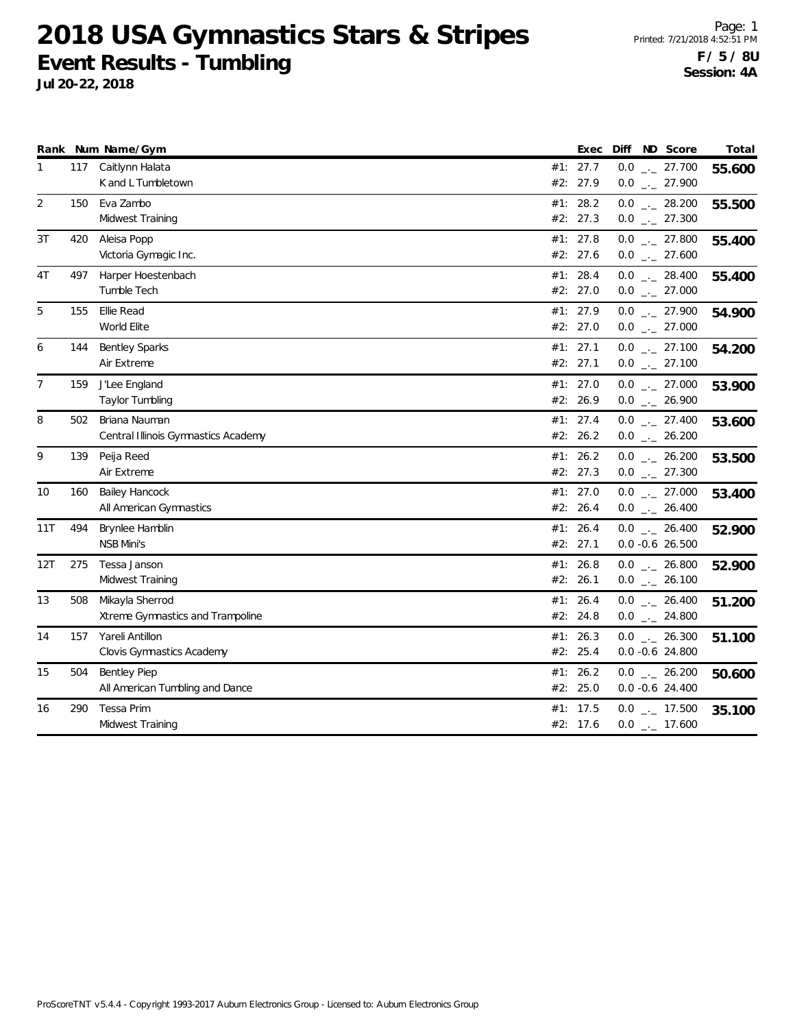|     |     | Rank Num Name/Gym                   |     | Exec       | Diff ND Score                | Total  |
|-----|-----|-------------------------------------|-----|------------|------------------------------|--------|
| 1   |     | 117 Caitlynn Halata                 |     | #1: 27.7   | $0.0$ _ 27.700               | 55.600 |
|     |     | K and L Tumbletown                  |     | #2: 27.9   | $0.0$ _ 27.900               |        |
| 2   | 150 | Eva Zambo                           |     | #1: 28.2   | $0.0$ _ 28.200               | 55.500 |
|     |     | Midwest Training                    |     | #2: 27.3   | $0.0$ $_{\leftarrow}$ 27.300 |        |
| 3T  | 420 | Aleisa Popp                         |     | #1: 27.8   | $0.0$ $_{-}$ 27.800          | 55.400 |
|     |     | Victoria Gymagic Inc.               |     | #2: 27.6   | $0.0$ _ 27.600               |        |
| 4T  | 497 | Harper Hoestenbach                  |     | #1: 28.4   | $0.0$ _ 28.400               | 55.400 |
|     |     | Tumble Tech                         |     | #2: 27.0   | $0.0$ _ 27.000               |        |
| 5   | 155 | Ellie Read                          |     | #1: 27.9   | $0.0$ $_{-}$ 27.900          | 54.900 |
|     |     | World Elite                         |     | #2: 27.0   | $0.0$ _ 27.000               |        |
| 6   | 144 | <b>Bentley Sparks</b>               | #1: | 27.1       | $0.0$ $_{--}$ 27.100         | 54.200 |
|     |     | Air Extreme                         |     | #2: 27.1   | $0.0$ _ 27.100               |        |
| 7   | 159 | J'Lee England                       |     | #1: $27.0$ | $0.0$ _ 27.000               | 53.900 |
|     |     | Taylor Tumbling                     |     | #2: 26.9   | $0.0$ _ 26.900               |        |
| 8   | 502 | Briana Nauman                       |     | #1: 27.4   | $0.0$ _._ 27.400             | 53.600 |
|     |     | Central Illinois Gymnastics Academy |     | #2: 26.2   | $0.0$ _ 26.200               |        |
| 9   | 139 | Peija Reed                          |     | #1: 26.2   | $0.0$ _ 26.200               | 53.500 |
|     |     | Air Extreme                         |     | #2: 27.3   | $0.0$ _ 27.300               |        |
| 10  | 160 | <b>Bailey Hancock</b>               |     | #1: 27.0   | $0.0$ _ 27.000               | 53.400 |
|     |     | All American Gymnastics             |     | #2: 26.4   | $0.0$ _ 26.400               |        |
| 11T | 494 | Brynlee Hamblin                     |     | #1: 26.4   | $0.0$ _ 26.400               | 52.900 |
|     |     | <b>NSB Mini's</b>                   |     | #2: 27.1   | $0.0 -0.6 26.500$            |        |
| 12T | 275 | Tessa Janson                        |     | #1: 26.8   | $0.0$ _ 26.800               | 52.900 |
|     |     | Midwest Training                    |     | #2: 26.1   | $0.0$ _ 26.100               |        |
| 13  | 508 | Mikayla Sherrod                     | #1: | 26.4       | $0.0$ _ 26.400               | 51.200 |
|     |     | Xtreme Gymnastics and Trampoline    |     | #2: 24.8   | $0.0$ _ 24.800               |        |
| 14  | 157 | Yareli Antillon                     |     | #1: 26.3   | $0.0$ _ 26.300               | 51.100 |
|     |     | Clovis Gymnastics Academy           |     | #2: 25.4   | $0.0 - 0.6$ 24.800           |        |
| 15  | 504 | <b>Bentley Piep</b>                 |     | #1: 26.2   | $0.0$ _ 26.200               | 50.600 |
|     |     | All American Tumbling and Dance     |     | #2: 25.0   | $0.0 - 0.6$ 24.400           |        |
| 16  | 290 | Tessa Prim                          |     | #1: 17.5   | $0.0$ _ $-$ 17.500           | 35.100 |
|     |     | Midwest Training                    |     | #2: 17.6   | $0.0$ _ $-17.600$            |        |
|     |     |                                     |     |            |                              |        |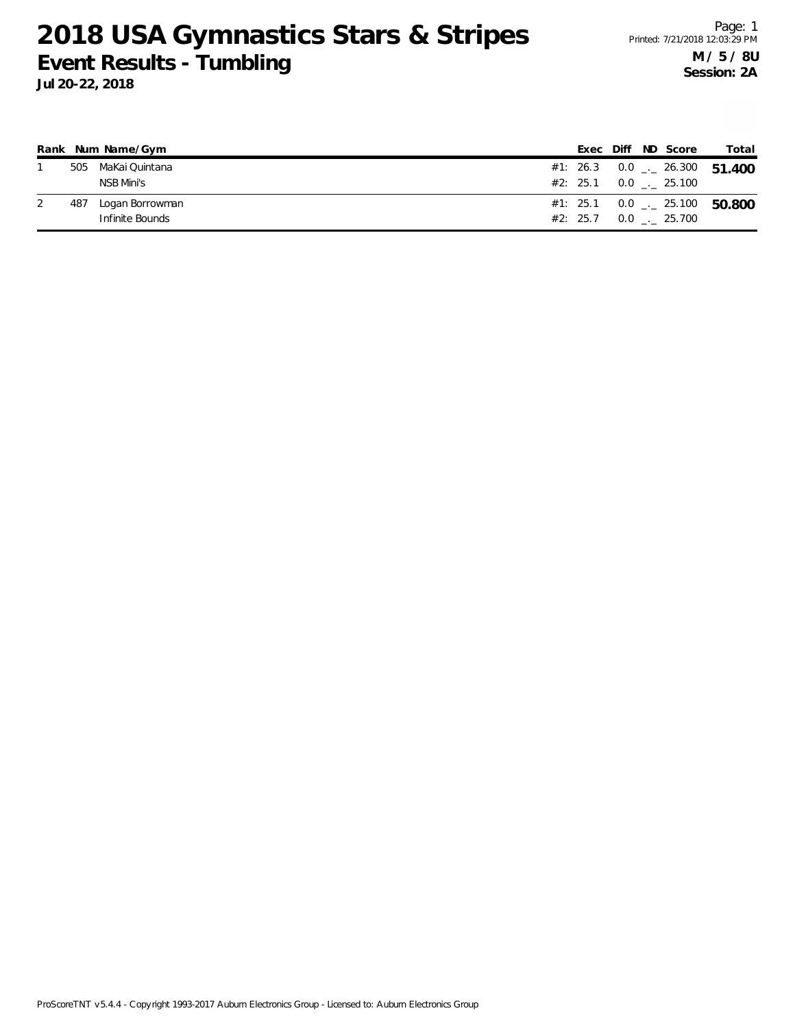|     | Rank Num Name/Gym  |  |  | Exec Diff ND Score            | Total                                    |
|-----|--------------------|--|--|-------------------------------|------------------------------------------|
|     | 505 MaKai Quintana |  |  |                               | #1: 26.3 0.0 $\ldots$ 26.300 51.400      |
|     | NSB Mini's         |  |  | $#2: 25.1 \t 0.0 \t . 25.100$ |                                          |
| 487 | Logan Borrowman    |  |  |                               | #1: 25.1 0.0 $\frac{1}{2}$ 25.100 50.800 |
|     | Infinite Bounds    |  |  |                               |                                          |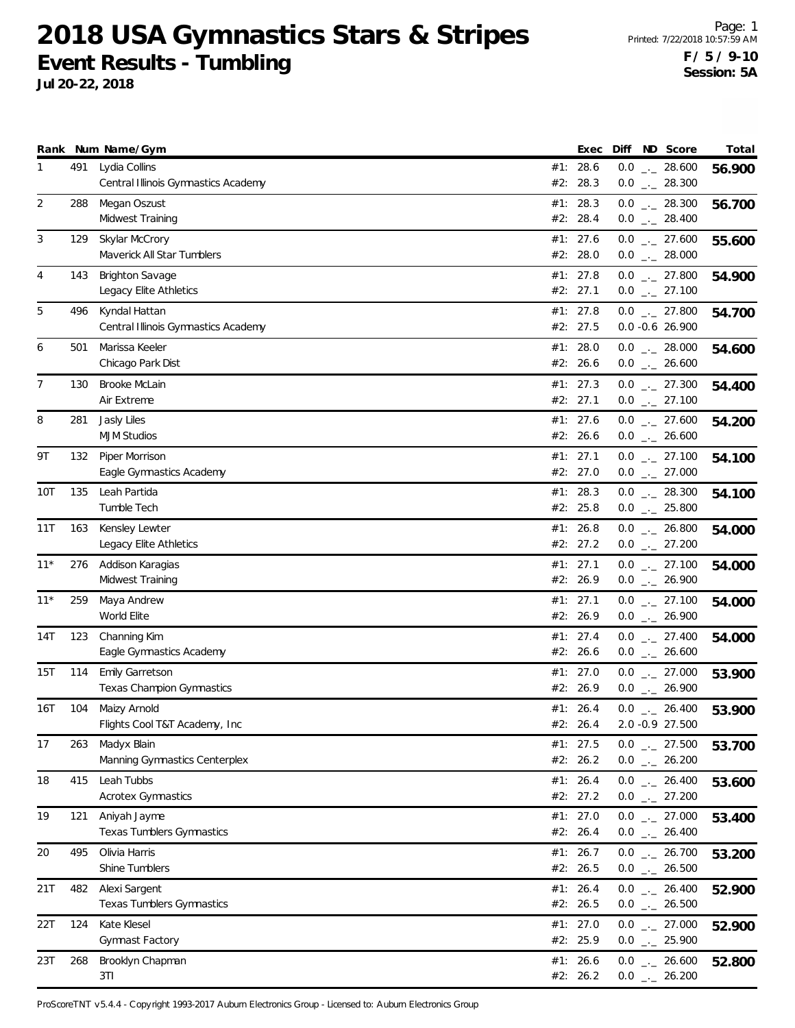**Jul 20-22, 2018**

|                |     | Rank Num Name/Gym                                    | Exec                   |  | Diff ND Score                                  | Total  |
|----------------|-----|------------------------------------------------------|------------------------|--|------------------------------------------------|--------|
| 1              | 491 | Lydia Collins<br>Central Illinois Gymnastics Academy | #1: 28.6               |  | $0.0$ _ 28.600                                 | 56.900 |
| $\overline{2}$ | 288 | Megan Oszust                                         | #2: 28.3<br>#1: 28.3   |  | $0.0$ _ 28.300                                 |        |
|                |     | Midwest Training                                     | #2: 28.4               |  | $0.0$ _._ 28.300<br>$0.0$ _ 28.400             | 56.700 |
| 3              | 129 | Skylar McCrory                                       | #1: 27.6               |  | $0.0$ _ 27.600                                 | 55.600 |
|                |     | Maverick All Star Tumblers                           | #2: 28.0               |  | $0.0$ _ 28.000                                 |        |
| 4              | 143 | <b>Brighton Savage</b>                               | #1: $27.8$             |  | $0.0$ _ 27.800                                 | 54.900 |
|                |     | Legacy Elite Athletics                               | #2: 27.1               |  | $0.0$ $_{-}$ 27.100                            |        |
| 5              | 496 | Kyndal Hattan                                        | #1: 27.8               |  | $0.0$ _ 27.800                                 | 54.700 |
|                |     | Central Illinois Gymnastics Academy                  | #2: 27.5               |  | 0.0 -0.6 26.900                                |        |
| 6              | 501 | Marissa Keeler<br>Chicago Park Dist                  | #1: 28.0<br>#2: 26.6   |  | $0.0$ _ 28.000<br>$0.0$ _ 26.600               | 54.600 |
| 7              | 130 | Brooke McLain                                        | #1: 27.3               |  | $0.0$ _ 27.300                                 | 54.400 |
|                |     | Air Extreme                                          | #2: 27.1               |  | $0.0$ _ 27.100                                 |        |
| 8              | 281 | Jasly Liles                                          | #1: 27.6               |  | $0.0$ _ 27.600                                 | 54.200 |
|                |     | <b>MJM Studios</b>                                   | #2: 26.6               |  | $0.0$ _ 26.600                                 |        |
| 9Τ             | 132 | Piper Morrison                                       | #1: 27.1               |  | $0.0$ _ 27.100                                 | 54.100 |
|                |     | Eagle Gymnastics Academy                             | #2: 27.0               |  | $0.0$ _ 27.000                                 |        |
| 10T            | 135 | Leah Partida                                         | #1: 28.3               |  | $0.0$ _ 28.300                                 | 54.100 |
|                |     | Tumble Tech                                          | #2: 25.8               |  | $0.0$ _ 25.800                                 |        |
| 11T            | 163 | Kensley Lewter<br>Legacy Elite Athletics             | #1: 26.8<br>#2: 27.2   |  | $0.0$ _ 26.800<br>$0.0$ $_{\leftarrow}$ 27.200 | 54.000 |
| $11*$          | 276 | Addison Karagias                                     | #1: 27.1               |  | $0.0$ $_{-}$ 27.100                            | 54.000 |
|                |     | Midwest Training                                     | #2: 26.9               |  | $0.0$ $_{-}$ 26.900                            |        |
| $11*$          | 259 | Maya Andrew                                          | #1: 27.1               |  | $0.0$ _._ 27.100                               | 54.000 |
|                |     | World Elite                                          | #2: 26.9               |  | $0.0$ $_{\leftarrow}$ 26.900                   |        |
| 14T            | 123 | Channing Kim                                         | #1: 27.4               |  | $0.0$ _ 27.400                                 | 54.000 |
|                |     | Eagle Gymnastics Academy                             | #2: 26.6               |  | $0.0$ _ 26.600                                 |        |
| 15T            | 114 | Emily Garretson<br>Texas Champion Gymnastics         | #1: $27.0$<br>#2: 26.9 |  | $0.0$ _ 27.000<br>$0.0$ _ 26.900               | 53.900 |
| 16T            | 104 | Maizy Arnold                                         | #1: 26.4               |  |                                                |        |
|                |     | Flights Cool T&T Academy, Inc.                       | #2: 26.4               |  | $0.0$ _ 26.400<br>2.0 -0.9 27.500              | 53.900 |
| 17             | 263 | Madyx Blain                                          | #1: 27.5               |  | $0.0$ $_{-}$ 27.500                            | 53.700 |
|                |     | Manning Gymnastics Centerplex                        | #2: 26.2               |  | $0.0$ _ 26.200                                 |        |
| 18             | 415 | Leah Tubbs                                           | #1: 26.4               |  | $0.0$ _ 26.400                                 | 53.600 |
|                |     | <b>Acrotex Gymnastics</b>                            | #2: 27.2               |  | $0.0$ $_{\leftarrow}$ 27.200                   |        |
| 19             | 121 | Aniyah Jayme                                         | #1: $27.0$             |  | $0.0$ _ 27.000                                 | 53.400 |
|                |     | Texas Tumblers Gymnastics                            | #2: 26.4               |  | $0.0$ _ 26.400                                 |        |
| 20             | 495 | Olivia Harris<br>Shine Tumblers                      | #1: 26.7<br>#2: 26.5   |  | $0.0$ - 26.700<br>$0.0$ _ 26.500               | 53.200 |
| 21T            | 482 | Alexi Sargent                                        | #1: 26.4               |  | $0.0$ $_{\leftarrow}$ 26.400                   |        |
|                |     | Texas Tumblers Gymnastics                            | #2: 26.5               |  | $0.0$ _ 26.500                                 | 52.900 |
| 22T            | 124 | Kate Klesel                                          | #1: 27.0               |  | $0.0$ _ 27.000                                 | 52.900 |
|                |     | Gymnast Factory                                      | #2: 25.9               |  | $0.0$ _ 25.900                                 |        |
| 23T            | 268 | Brooklyn Chapman                                     | #1: 26.6               |  | $0.0$ _ 26.600                                 | 52.800 |
|                |     | 3T1                                                  | #2: 26.2               |  | $0.0$ _ 26.200                                 |        |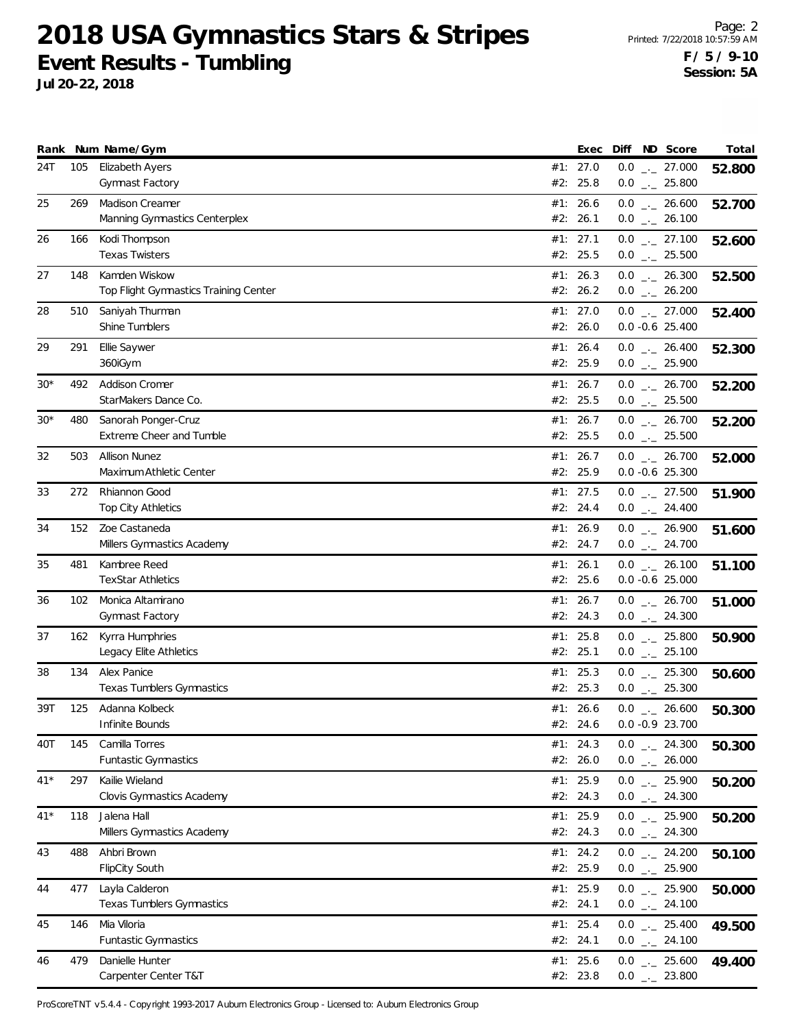**Jul 20-22, 2018**

|       |     | Rank Num Name/Gym                                  |     | Exec                 |  | Diff ND Score                        | Total  |
|-------|-----|----------------------------------------------------|-----|----------------------|--|--------------------------------------|--------|
| 24T   | 105 | <b>Elizabeth Ayers</b><br>Gymnast Factory          | #2: | #1: 27.0<br>25.8     |  | $0.0$ _ 27.000                       | 52.800 |
| 25    | 269 | Madison Creamer                                    |     | #1: 26.6             |  | $0.0$ _ 25.800<br>$0.0$ _ 26.600     | 52.700 |
|       |     | Manning Gymnastics Centerplex                      |     | #2: 26.1             |  | $0.0$ _ 26.100                       |        |
| 26    | 166 | Kodi Thompson<br><b>Texas Twisters</b>             |     | #1: 27.1<br>#2: 25.5 |  | $0.0$ _ 27.100<br>$0.0$ _ 25.500     | 52.600 |
| 27    | 148 | Kamden Wiskow                                      |     | #1: 26.3             |  | $0.0$ _ 26.300                       | 52.500 |
|       |     | Top Flight Gymnastics Training Center              |     | #2: 26.2             |  | $0.0$ _._ 26.200                     |        |
| 28    | 510 | Saniyah Thurman<br>Shine Tumblers                  |     | #1: 27.0<br>#2: 26.0 |  | $0.0$ _ 27.000<br>$0.0 - 0.6$ 25.400 | 52.400 |
| 29    | 291 | Ellie Saywer                                       |     | #1: 26.4             |  | $0.0$ _ 26.400                       | 52.300 |
|       |     | 360iGym                                            |     | #2: 25.9             |  | $0.0$ _ 25.900                       |        |
| $30*$ | 492 | Addison Cromer                                     |     | #1: 26.7             |  | $0.0$ _ 26.700                       | 52.200 |
| $30*$ | 480 | StarMakers Dance Co.                               |     | #2: 25.5<br>#1: 26.7 |  | $0.0$ _ 25.500                       |        |
|       |     | Sanorah Ponger-Cruz<br>Extreme Cheer and Tumble    |     | #2: 25.5             |  | $0.0$ _ 26.700<br>$0.0$ _ 25.500     | 52.200 |
| 32    | 503 | <b>Allison Nunez</b>                               |     | #1: 26.7             |  | $0.0$ _ 26.700                       | 52.000 |
|       |     | Maximum Athletic Center                            |     | #2: 25.9             |  | $0.0 -0.6$ 25.300                    |        |
| 33    | 272 | Rhiannon Good                                      |     | #1: 27.5             |  | $0.0$ $_{\leftarrow}$ 27.500         | 51.900 |
|       |     | <b>Top City Athletics</b>                          |     | #2: 24.4             |  | $0.0$ _ 24.400                       |        |
| 34    | 152 | Zoe Castaneda                                      |     | #1: 26.9             |  | $0.0$ _ 26.900                       | 51.600 |
|       |     | Millers Gymnastics Academy                         |     | #2: 24.7             |  | $0.0$ $_{-}$ 24.700                  |        |
| 35    | 481 | Kambree Reed<br><b>TexStar Athletics</b>           | #1: | 26.1<br>#2: 25.6     |  | $0.0$ _ 26.100<br>$0.0 -0.6$ 25.000  | 51.100 |
| 36    | 102 | Monica Altamirano                                  |     | #1: 26.7             |  | $0.0$ $_{\leftarrow}$ 26.700         | 51.000 |
|       |     | Gymnast Factory                                    |     | #2: 24.3             |  | $0.0$ _ 24.300                       |        |
| 37    | 162 | Kyrra Humphries                                    |     | #1: 25.8             |  | $0.0$ _ 25.800                       | 50.900 |
|       |     | Legacy Elite Athletics                             |     | #2: 25.1             |  | $0.0$ _ 25.100                       |        |
| 38    | 134 | Alex Panice                                        |     | #1: 25.3             |  | $0.0$ _ 25.300                       | 50.600 |
|       |     | <b>Texas Tumblers Gymnastics</b>                   |     | #2: 25.3             |  | $0.0$ _ 25.300                       |        |
| 39T   | 125 | Adanna Kolbeck<br>Infinite Bounds                  |     | #1: 26.6<br>#2: 24.6 |  | $0.0$ _ 26.600<br>$0.0 -0.9 23.700$  | 50.300 |
| 40T   | 145 | Camilla Torres                                     |     | #1: 24.3             |  | $0.0$ _ 24.300                       | 50.300 |
|       |     | Funtastic Gymnastics                               |     | #2: 26.0             |  | $0.0$ _ 26.000                       |        |
| $41*$ | 297 | Kailie Wieland                                     |     | #1: 25.9             |  | $0.0$ _ 25.900                       | 50.200 |
|       |     | Clovis Gymnastics Academy                          |     | #2: 24.3             |  | $0.0$ $_{\leftarrow}$ 24.300         |        |
| $41*$ | 118 | Jalena Hall                                        |     | #1: 25.9             |  | $0.0$ _ 25.900                       | 50.200 |
|       |     | Millers Gymnastics Academy                         |     | #2: 24.3             |  | $0.0$ _ 24.300                       |        |
| 43    | 488 | Ahbri Brown                                        |     | #1: 24.2             |  | $0.0$ _ 24.200                       | 50.100 |
|       |     | <b>FlipCity South</b>                              |     | #2: 25.9             |  | $0.0$ _ 25.900                       |        |
| 44    | 477 | Layla Calderon<br><b>Texas Tumblers Gymnastics</b> |     | #1: 25.9<br>#2: 24.1 |  | $0.0$ _ 25.900<br>$0.0$ _ 24.100     | 50.000 |
| 45    | 146 | Mia Viloria                                        |     | #1: 25.4             |  | $0.0$ _ 25.400                       | 49.500 |
|       |     | Funtastic Gymnastics                               |     | #2: 24.1             |  | $0.0$ _ 24.100                       |        |
| 46    | 479 | Danielle Hunter                                    |     | #1: 25.6             |  | $0.0$ _ 25.600                       | 49.400 |
|       |     | Carpenter Center T&T                               |     | #2: 23.8             |  | $0.0$ _ 23.800                       |        |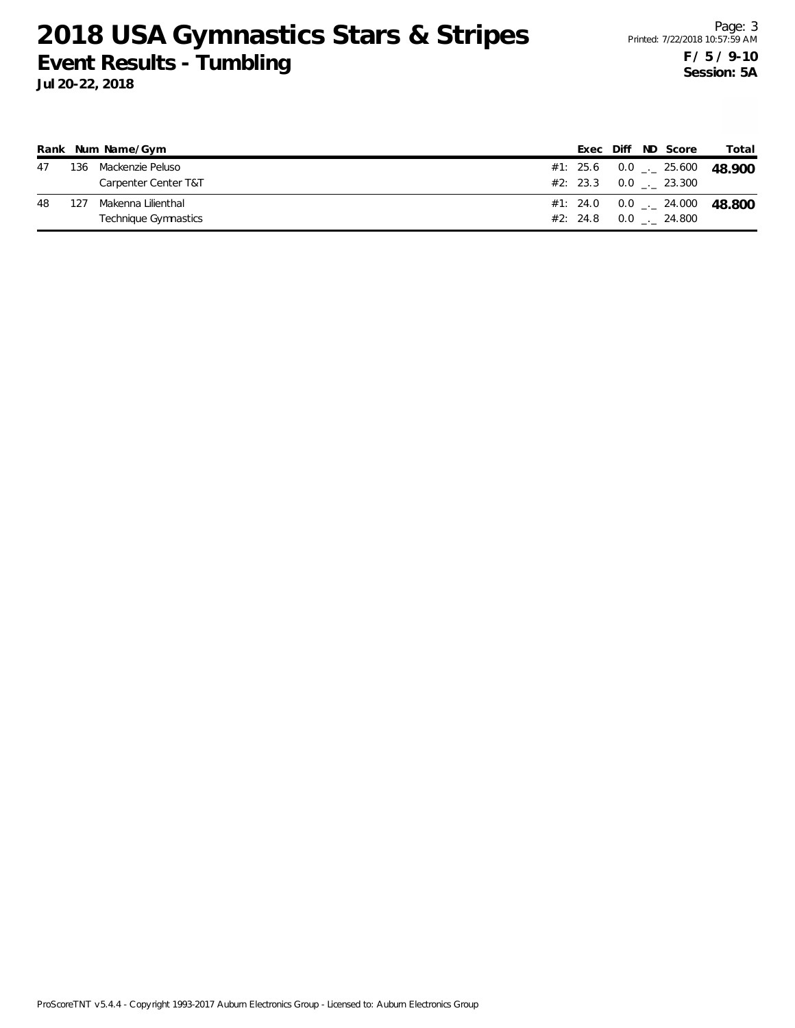|    |     | Rank Num Name/Gym    |  |  | Exec Diff ND Score            | Total                                      |
|----|-----|----------------------|--|--|-------------------------------|--------------------------------------------|
| 47 |     | 136 Mackenzie Peluso |  |  |                               | #1: 25.6  0.0 $\frac{1}{2}$ 25.600  48.900 |
|    |     | Carpenter Center T&T |  |  | $#2: 23.3 \t 0.0 \t . 23.300$ |                                            |
| 48 | 127 | Makenna Lilienthal   |  |  |                               | #1: 24.0  0.0 $\ldots$ 24.000  48.800      |
|    |     | Technique Gymnastics |  |  | #2: 24.8 0.0 . 24.800         |                                            |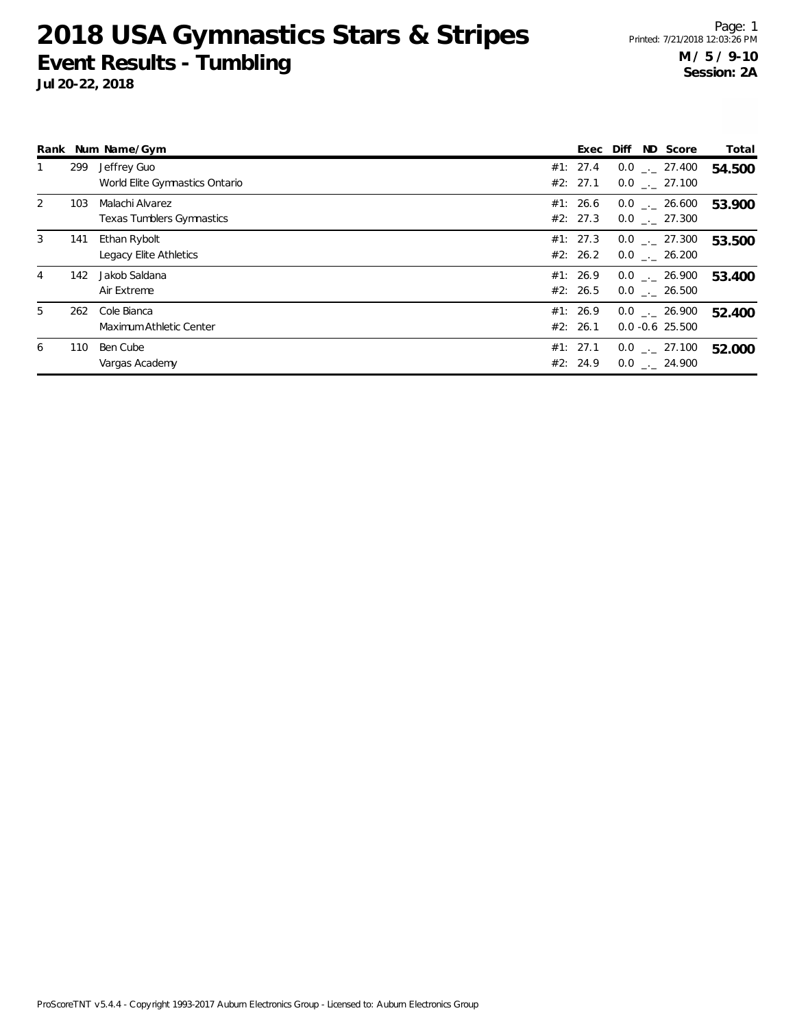|   |     | Rank Num Name/Gym                             | Exec                 | Diff | ND Score                               | Total  |
|---|-----|-----------------------------------------------|----------------------|------|----------------------------------------|--------|
|   | 299 | Jeffrey Guo<br>World Elite Gymnastics Ontario | #1: 27.4<br>#2: 27.1 |      | $0.0$ _ $-27.400$<br>$0.0$ _. 27.100   | 54.500 |
| 2 | 103 | Malachi Alvarez<br>Texas Tumblers Gymnastics  | #1: 26.6<br>#2: 27.3 |      | $0.0$ _._ 26.600<br>$0.0$ _._ 27.300   | 53.900 |
| 3 | 141 | Ethan Rybolt<br>Legacy Elite Athletics        | #1: 27.3<br>#2: 26.2 |      | $0.0$ . 27.300<br>$0.0$ _. 26.200      | 53.500 |
| 4 | 142 | Jakob Saldana<br>Air Extreme                  | #1: 26.9<br>#2: 26.5 |      | $0.0$ _. 26.900<br>$0.0$ . 26.500      | 53.400 |
| 5 | 262 | Cole Bianca<br>Maximum Athletic Center        | #1: 26.9<br>#2: 26.1 |      | $0.0$ _._ 26.900<br>$0.0 - 0.6$ 25.500 | 52.400 |
| 6 | 110 | Ben Cube<br>Vargas Academy                    | #1: 27.1<br>#2: 24.9 |      | $0.0$ _._ 27.100<br>$0.0$ _. 24.900    | 52.000 |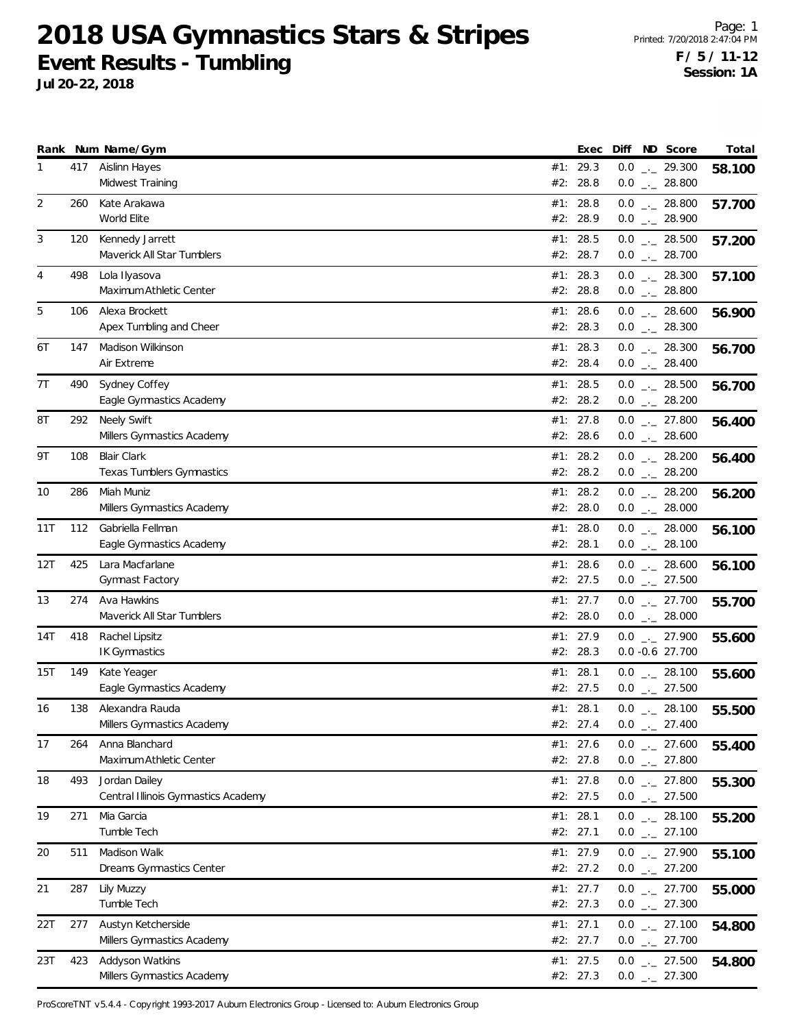**Jul 20-22, 2018**

|                |     | Rank Num Name/Gym                                      |     | Exec                   |     | Diff ND Score                                  | Total  |
|----------------|-----|--------------------------------------------------------|-----|------------------------|-----|------------------------------------------------|--------|
| 1              | 417 | Aislinn Hayes<br>Midwest Training                      |     | #1: 29.3<br>#2: 28.8   |     | $0.0$ _ 29.300<br>$0.0$ _._ 28.800             | 58.100 |
| 2              | 260 | Kate Arakawa<br>World Elite                            |     | #1: 28.8<br>#2: 28.9   |     | $0.0$ _._ 28.800<br>$0.0$ _ 28.900             | 57.700 |
| 3              | 120 | Kennedy Jarrett<br>Maverick All Star Tumblers          |     | #1: 28.5<br>#2: 28.7   |     | $0.0$ _ 28.500<br>$0.0$ _ 28.700               | 57.200 |
| $\overline{4}$ | 498 | Lola Ilyasova<br>Maximum Athletic Center               |     | #1: 28.3<br>#2: 28.8   |     | $0.0$ _ 28.300<br>$0.0$ _ 28.800               | 57.100 |
| 5              | 106 | Alexa Brockett<br>Apex Tumbling and Cheer              |     | #1: 28.6<br>#2: 28.3   |     | $0.0$ _ 28.600<br>$0.0$ _ 28.300               | 56.900 |
| 6T             | 147 | Madison Wilkinson<br>Air Extreme                       |     | #1: 28.3<br>#2: 28.4   |     | $0.0$ _ 28.300<br>$0.0$ _ $-28.400$            | 56.700 |
| 7T             | 490 | Sydney Coffey<br>Eagle Gymnastics Academy              |     | #1: 28.5<br>#2: 28.2   |     | $0.0$ _ 28.500<br>$0.0$ _ 28.200               | 56.700 |
| 8Τ             | 292 | <b>Neely Swift</b><br>Millers Gymnastics Academy       |     | #1: 27.8<br>#2: 28.6   |     | $0.0$ _ 27.800<br>$0.0$ _ 28.600               | 56.400 |
| 9T             | 108 | <b>Blair Clark</b><br><b>Texas Tumblers Gymnastics</b> |     | #1: 28.2<br>#2: 28.2   |     | $0.0$ _ 28.200<br>$0.0$ _ 28.200               | 56.400 |
| 10             | 286 | Miah Muniz<br>Millers Gymnastics Academy               |     | #1: 28.2<br>#2: 28.0   |     | $0.0$ _ 28.200<br>$0.0$ _ 28.000               | 56.200 |
| 11T            | 112 | Gabriella Fellman<br>Eagle Gymnastics Academy          |     | #1: $28.0$<br>#2: 28.1 |     | $0.0$ _ 28.000<br>$0.0$ _ 28.100               | 56.100 |
| 12T            | 425 | Lara Macfarlane<br>Gymnast Factory                     | #1: | 28.6<br>#2: 27.5       |     | $0.0$ _ 28.600<br>$0.0$ _ 27.500               | 56.100 |
| 13             | 274 | Ava Hawkins<br>Maverick All Star Tumblers              |     | #1: 27.7<br>#2: 28.0   |     | $0.0$ _._ 27.700<br>$0.0$ _ 28.000             | 55.700 |
| 14T            | 418 | Rachel Lipsitz<br><b>IK Gymnastics</b>                 |     | #1: 27.9<br>#2: 28.3   |     | $0.0$ _ 27.900<br>$0.0 - 0.6$ 27.700           | 55.600 |
| 15T            | 149 | Kate Yeager<br>Eagle Gymnastics Academy                |     | #1: 28.1<br>#2: 27.5   |     | $0.0$ _ 28.100<br>$0.0$ _ 27.500               | 55.600 |
| 16             | 138 | Alexandra Rauda<br>Millers Gymnastics Academy          |     | #1: 28.1<br>#2: 27.4   | 0.0 | $0.0$ _._ 28.100<br>$-27.400$                  | 55.500 |
| 17             | 264 | Anna Blanchard<br>Maximum Athletic Center              |     | #1: 27.6<br>#2: 27.8   |     | $0.0$ - 27.600<br>$0.0$ _ 27.800               | 55.400 |
| 18             | 493 | Jordan Dailey<br>Central Illinois Gymnastics Academy   |     | #1: $27.8$<br>#2: 27.5 |     | $0.0$ _ 27.800<br>$0.0$ $_{\leftarrow}$ 27.500 | 55.300 |
| 19             | 271 | Mia Garcia<br>Tumble Tech                              |     | #1: 28.1<br>#2: 27.1   |     | $0.0$ _ 28.100<br>$0.0$ _ 27.100               | 55.200 |
| 20             | 511 | Madison Walk<br>Dreams Gymnastics Center               |     | #1: 27.9<br>#2: 27.2   |     | $0.0$ $_{-}$ 27.900<br>$0.0$ _ 27.200          | 55.100 |
| 21             | 287 | Lily Muzzy<br>Tumble Tech                              |     | #1: 27.7<br>#2: 27.3   |     | $0.0$ _ 27.700<br>$0.0$ _ 27.300               | 55.000 |
| 22T            | 277 | Austyn Ketcherside<br>Millers Gymnastics Academy       |     | #1: 27.1<br>#2: 27.7   |     | $0.0$ _ 27.100<br>$0.0$ _ 27.700               | 54.800 |
| 23T            | 423 | Addyson Watkins<br>Millers Gymnastics Academy          |     | #1: 27.5<br>#2: 27.3   |     | $0.0$ _ 27.500<br>$0.0$ _ 27.300               | 54.800 |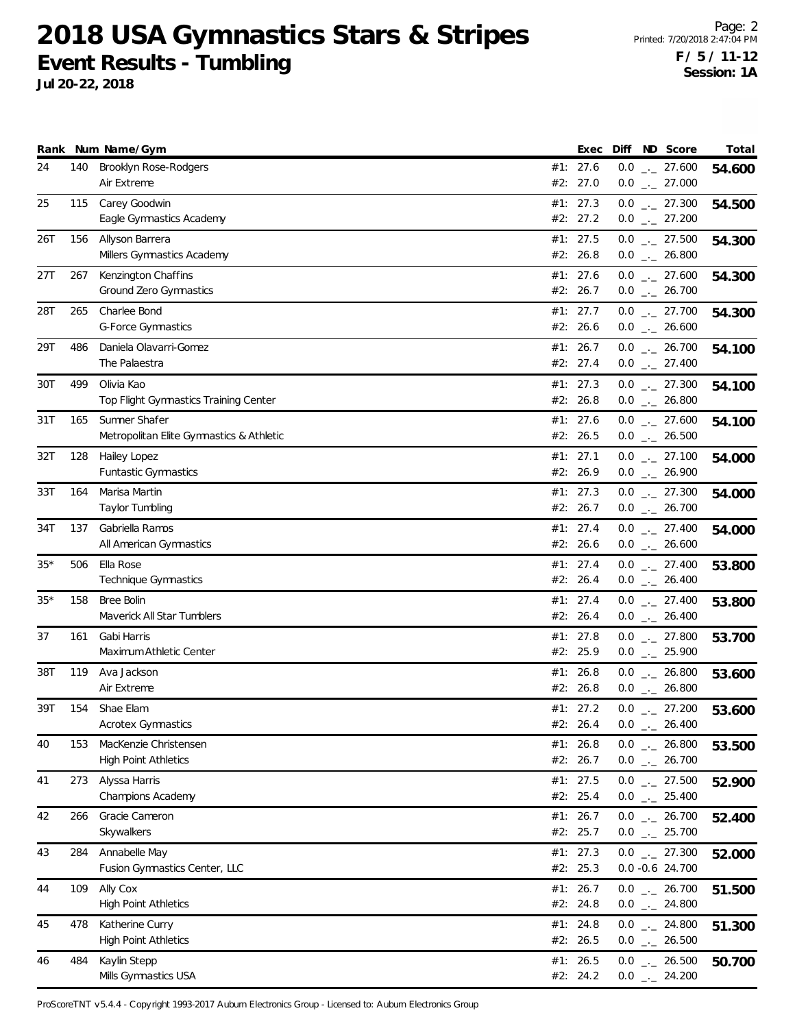**Jul 20-22, 2018**

Page: 2 Printed: 7/20/2018 2:47:04 PM **F / 5 / 11-12 Session: 1A**

|       |     | Rank Num Name/Gym                                         |     | Exec                 |     | Diff ND Score                                                | Total  |
|-------|-----|-----------------------------------------------------------|-----|----------------------|-----|--------------------------------------------------------------|--------|
| 24    | 140 | <b>Brooklyn Rose-Rodgers</b><br>Air Extreme               |     | #1: 27.6<br>#2: 27.0 |     | $0.0$ _ 27.600<br>$0.0$ _ 27.000                             | 54.600 |
| 25    | 115 | Carey Goodwin<br>Eagle Gymnastics Academy                 |     | #1: 27.3<br>#2: 27.2 |     | $0.0$ $_{\leftarrow}$ 27.300<br>$0.0$ $_{\leftarrow}$ 27.200 | 54.500 |
| 26T   | 156 | Allyson Barrera<br>Millers Gymnastics Academy             |     | #1: 27.5<br>#2: 26.8 |     | $0.0$ _ 27.500<br>$0.0$ _ 26.800                             | 54.300 |
| 27T   | 267 | Kenzington Chaffins<br>Ground Zero Gymnastics             |     | #1: 27.6<br>#2: 26.7 |     | $0.0$ _ 27.600<br>$0.0$ _ 26.700                             | 54.300 |
| 28T   | 265 | Charlee Bond<br><b>G-Force Gymnastics</b>                 |     | #1: 27.7<br>#2: 26.6 |     | $0.0$ $_{-}$ 27.700<br>$0.0$ _ 26.600                        | 54.300 |
| 29T   | 486 | Daniela Olavarri-Gomez<br>The Palaestra                   |     | #1: 26.7<br>#2: 27.4 |     | $0.0$ _ 26.700<br>$0.0$ _ 27.400                             | 54.100 |
| 30T   | 499 | Olivia Kao<br>Top Flight Gymnastics Training Center       |     | #1: 27.3<br>#2: 26.8 |     | $0.0$ _ 27.300<br>$0.0$ _ 26.800                             | 54.100 |
| 31T   | 165 | Sumner Shafer<br>Metropolitan Elite Gymnastics & Athletic |     | #1: 27.6<br>#2: 26.5 |     | $0.0$ _ 27.600<br>$0.0$ _ 26.500                             | 54.100 |
| 32T   | 128 | Hailey Lopez<br><b>Funtastic Gymnastics</b>               |     | #1: 27.1<br>#2: 26.9 |     | $0.0$ _ 27.100<br>$0.0$ _ 26.900                             | 54.000 |
| 33T   | 164 | Marisa Martin<br>Taylor Tumbling                          |     | #1: 27.3<br>#2: 26.7 |     | $0.0$ _ 27.300<br>$0.0$ _ 26.700                             | 54.000 |
| 34T   | 137 | Gabriella Ramos<br>All American Gymnastics                |     | #1: 27.4<br>#2: 26.6 |     | $0.0$ _ 27.400<br>$0.0$ _ 26.600                             | 54.000 |
| $35*$ | 506 | Ella Rose<br>Technique Gymnastics                         | #1: | 27.4<br>#2: 26.4     |     | $0.0$ $_{-}$ 27.400<br>$0.0$ _ 26.400                        | 53.800 |
| $35*$ | 158 | <b>Bree Bolin</b><br>Maverick All Star Tumblers           |     | #1: 27.4<br>#2: 26.4 |     | $0.0$ _._ 27.400<br>$0.0$ _ $-$ 26.400                       | 53.800 |
| 37    | 161 | Gabi Harris<br>Maximum Athletic Center                    |     | #1: 27.8<br>#2: 25.9 |     | $0.0$ _ 27.800<br>$0.0$ _ 25.900                             | 53.700 |
| 38T   | 119 | Ava Jackson<br>Air Extreme                                | #1: | 26.8<br>#2: 26.8     |     | $0.0$ _ 26.800<br>$0.0$ _ 26.800                             | 53.600 |
| 39T   | 154 | Shae Elam<br><b>Acrotex Gymnastics</b>                    |     | #1: 27.2<br>#2: 26.4 | 0.0 | $0.0$ _._ 27.200<br>$-26.400$                                | 53.600 |
| 40    | 153 | MacKenzie Christensen<br><b>High Point Athletics</b>      |     | #1: 26.8<br>#2: 26.7 |     | $0.0$ _ 26.800<br>$0.0$ _ 26.700                             | 53.500 |
| 41    | 273 | Alyssa Harris<br>Champions Academy                        |     | #1: 27.5<br>#2: 25.4 |     | $0.0$ _ 27.500<br>$0.0$ _ 25.400                             | 52.900 |
| 42    | 266 | Gracie Cameron<br>Skywalkers                              |     | #1: 26.7<br>#2: 25.7 |     | $0.0$ _ 26.700<br>$0.0$ _ 25.700                             | 52.400 |
| 43    | 284 | Annabelle May<br>Fusion Gymnastics Center, LLC            |     | #1: 27.3<br>#2: 25.3 |     | $0.0$ $_{-}$ 27.300<br>$0.0 - 0.6$ 24.700                    | 52.000 |
| 44    | 109 | Ally Cox<br><b>High Point Athletics</b>                   |     | #1: 26.7<br>#2: 24.8 |     | $0.0$ _ 26.700<br>$0.0$ _ 24.800                             | 51.500 |
| 45    | 478 | Katherine Curry<br><b>High Point Athletics</b>            |     | #1: 24.8<br>#2: 26.5 |     | $0.0$ _ 24.800<br>$0.0$ _ 26.500                             | 51.300 |
| 46    | 484 | Kaylin Stepp<br>Mills Gymnastics USA                      |     | #1: 26.5<br>#2: 24.2 |     | $0.0$ _ 26.500<br>$0.0$ _ 24.200                             | 50.700 |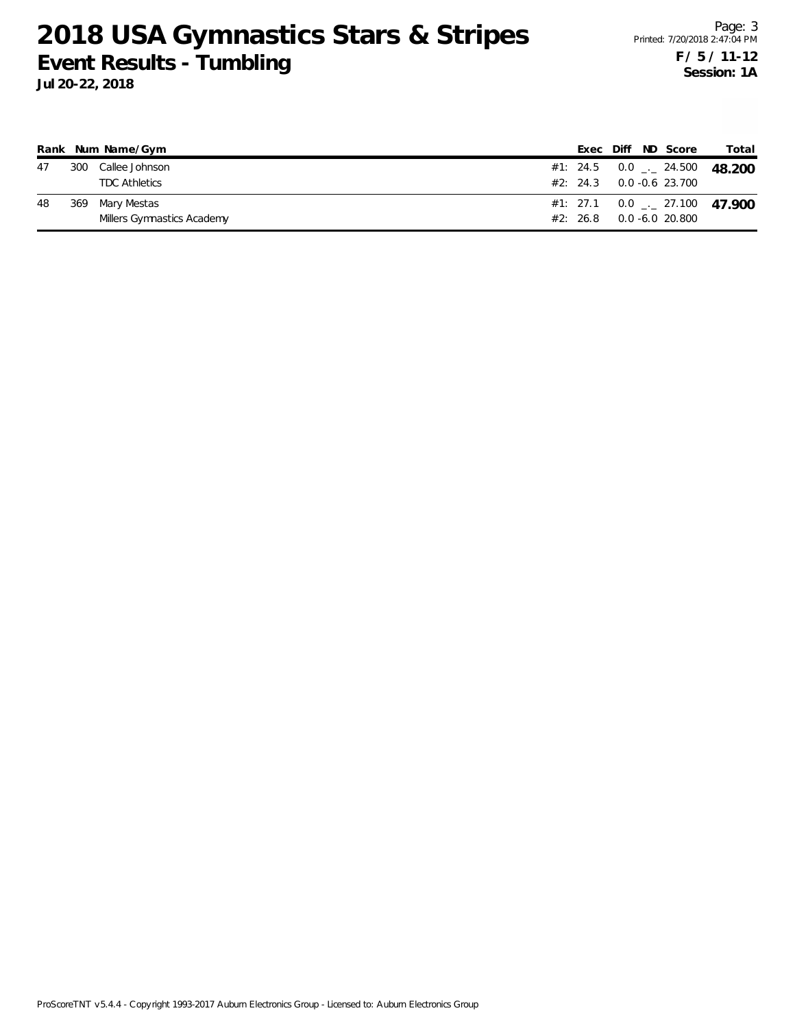|    |     | Rank Num Name/Gym          |  |  | Exec Diff ND Score                 | Total                                      |
|----|-----|----------------------------|--|--|------------------------------------|--------------------------------------------|
| 47 |     | 300 Callee Johnson         |  |  |                                    | #1: 24.5  0.0 $\frac{1}{2}$ 24.500  48.200 |
|    |     | <b>TDC Athletics</b>       |  |  | $#2: 24.3 \qquad 0.0 -0.6 23.700$  |                                            |
| 48 | 369 | Mary Mestas                |  |  |                                    | #1: 27.1  0.0 $\frac{1}{2}$ 27.100  47.900 |
|    |     | Millers Gymnastics Academy |  |  | $#2: 26.8 \qquad 0.0 - 6.0 20.800$ |                                            |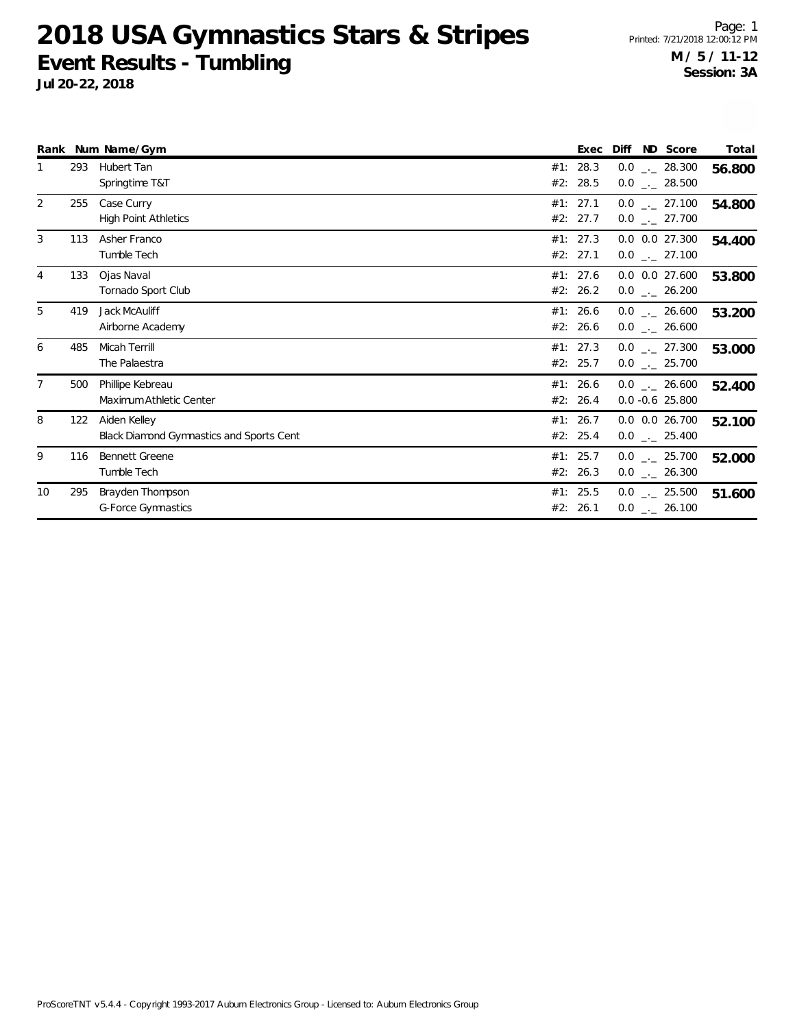**Jul 20-22, 2018**

Page: 1 Printed: 7/21/2018 12:00:12 PM **M / 5 / 11-12 Session: 3A**

|                |     | Rank Num Name/Gym                                               |     | Exec                 | Diff<br>ND Score                                   | Total  |
|----------------|-----|-----------------------------------------------------------------|-----|----------------------|----------------------------------------------------|--------|
|                | 293 | <b>Hubert Tan</b><br>Springtime T&T                             | #1: | 28.3<br>#2: 28.5     | $0.0$ _ 28.300<br>$0.0$ _ 28.500                   | 56.800 |
| 2              | 255 | Case Curry<br><b>High Point Athletics</b>                       |     | #1: 27.1<br>#2: 27.7 | $0.0$ _ 27.100<br>$0.0$ _ 27.700                   | 54.800 |
| 3              | 113 | Asher Franco<br>Tumble Tech                                     |     | #1: 27.3<br>#2: 27.1 | $0.0$ $0.0$ 27.300<br>$0.0$ $_{\leftarrow}$ 27.100 | 54.400 |
| 4              | 133 | Ojas Naval<br>Tornado Sport Club                                |     | #1: 27.6<br>#2: 26.2 | $0.0$ $0.0$ 27.600<br>$0.0$ _ 26.200               | 53.800 |
| 5              | 419 | Jack McAuliff<br>Airborne Academy                               |     | #1: 26.6<br>#2: 26.6 | $0.0$ _._ 26.600<br>$0.0$ _ 26.600                 | 53.200 |
| 6              | 485 | Micah Terrill<br>The Palaestra                                  |     | #1: 27.3<br>#2: 25.7 | $0.0$ $_{-}$ 27.300<br>$0.0$ _ 25.700              | 53.000 |
| $\overline{7}$ | 500 | Phillipe Kebreau<br>Maximum Athletic Center                     |     | #1: 26.6<br>#2: 26.4 | $0.0$ _._ 26.600<br>$0.0 -0.6$ 25.800              | 52.400 |
| 8              | 122 | Aiden Kelley<br><b>Black Diamond Gymnastics and Sports Cent</b> |     | #1: 26.7<br>#2: 25.4 | $0.0$ $0.0$ 26.700<br>$0.0$ _ 25.400               | 52.100 |
| 9              | 116 | <b>Bennett Greene</b><br>Tumble Tech                            |     | #1: 25.7<br>#2: 26.3 | $0.0$ _ 25.700<br>$0.0$ _ 26.300                   | 52.000 |
| 10             | 295 | Brayden Thompson<br><b>G-Force Gymnastics</b>                   |     | #1: 25.5<br>#2: 26.1 | $0.0$ _ 25.500<br>$0.0$ _ 26.100                   | 51.600 |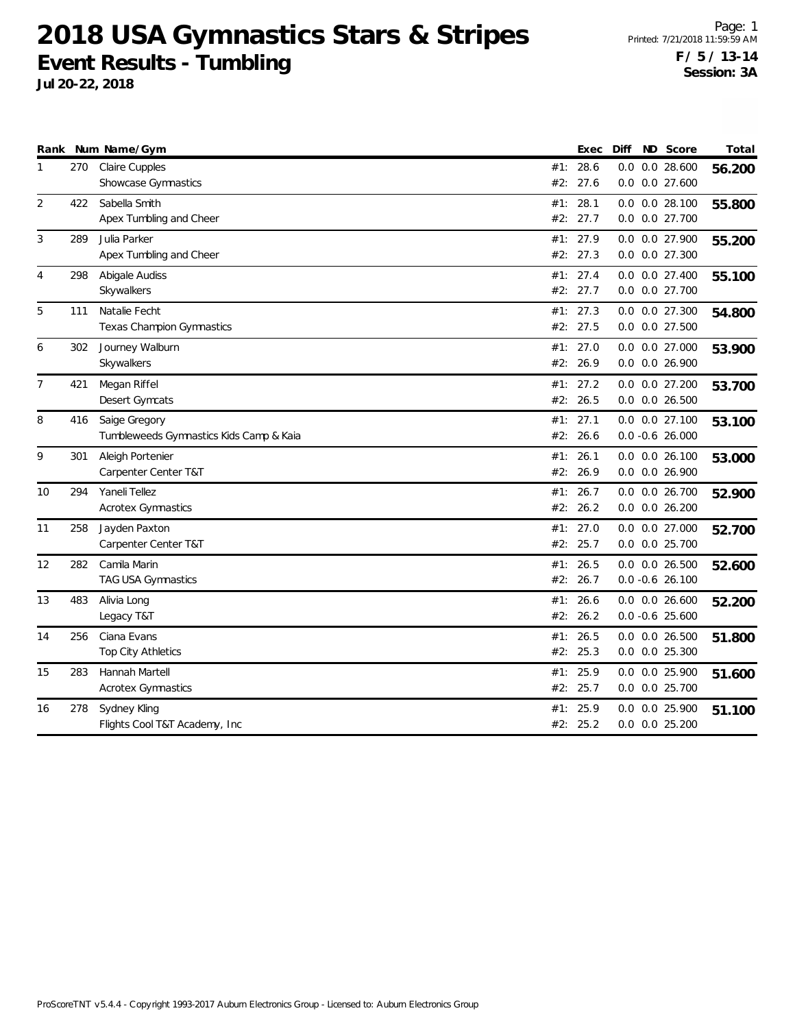**Jul 20-22, 2018**

Page: 1 Printed: 7/21/2018 11:59:59 AM **F / 5 / 13-14 Session: 3A**

|                |     | Rank Num Name/Gym                       |     | Exec     | Diff | ND Score           | Total  |
|----------------|-----|-----------------------------------------|-----|----------|------|--------------------|--------|
| 1              | 270 | Claire Cupples                          | #1: | 28.6     | 0.0  | $0.0$ 28.600       | 56.200 |
|                |     | Showcase Gymnastics                     | #2: | 27.6     |      | $0.0$ $0.0$ 27.600 |        |
| 2              | 422 | Sabella Smith                           | #1: | 28.1     |      | $0.0$ $0.0$ 28.100 | 55.800 |
|                |     | Apex Tumbling and Cheer                 | #2: | 27.7     |      | 0.0 0.0 27.700     |        |
| 3              | 289 | Julia Parker                            | #1: | 27.9     |      | 0.0 0.0 27.900     | 55.200 |
|                |     | Apex Tumbling and Cheer                 | #2: | 27.3     |      | 0.0 0.0 27.300     |        |
| 4              | 298 | Abigale Audiss                          |     | #1: 27.4 |      | 0.0 0.0 27.400     | 55.100 |
|                |     | Skywalkers                              |     | #2: 27.7 |      | 0.0 0.0 27.700     |        |
| 5              | 111 | Natalie Fecht                           |     | #1: 27.3 |      | 0.0 0.0 27.300     | 54.800 |
|                |     | Texas Champion Gymnastics               |     | #2: 27.5 |      | $0.0$ $0.0$ 27.500 |        |
| 6              | 302 | Journey Walburn                         | #1: | 27.0     | 0.0  | 0.0 27.000         | 53.900 |
|                |     | Skywalkers                              | #2: | 26.9     |      | 0.0 0.0 26.900     |        |
| $\overline{7}$ | 421 | Megan Riffel                            |     | #1: 27.2 |      | 0.0 0.0 27.200     | 53.700 |
|                |     | Desert Gymcats                          | #2: | 26.5     |      | $0.0$ $0.0$ 26.500 |        |
| 8              | 416 | Saige Gregory                           | #1: | 27.1     |      | $0.0$ $0.0$ 27.100 | 53.100 |
|                |     | Tumbleweeds Gymnastics Kids Camp & Kaia |     | #2: 26.6 |      | $0.0 -0.6 26.000$  |        |
| 9              | 301 | Aleigh Portenier                        | #1: | 26.1     |      | $0.0$ $0.0$ 26.100 | 53.000 |
|                |     | Carpenter Center T&T                    | #2: | 26.9     |      | 0.0 0.0 26.900     |        |
| 10             | 294 | Yaneli Tellez                           | #1: | 26.7     |      | $0.0$ $0.0$ 26.700 | 52.900 |
|                |     | <b>Acrotex Gymnastics</b>               | #2: | 26.2     |      | $0.0$ $0.0$ 26.200 |        |
| 11             | 258 | Jayden Paxton                           | #1: | 27.0     |      | $0.0$ $0.0$ 27.000 | 52.700 |
|                |     | Carpenter Center T&T                    | #2: | 25.7     |      | 0.0 0.0 25.700     |        |
| 12             | 282 | Camila Marin                            | #1: | 26.5     |      | $0.0$ $0.0$ 26.500 | 52.600 |
|                |     | TAG USA Gymnastics                      | #2: | 26.7     |      | $0.0 - 0.6$ 26.100 |        |
| 13             | 483 | Alivia Long                             |     | #1: 26.6 |      | $0.0$ $0.0$ 26.600 | 52.200 |
|                |     | Legacy T&T                              |     | #2: 26.2 |      | $0.0 - 0.6$ 25.600 |        |
| 14             | 256 | Ciana Evans                             | #1: | 26.5     |      | $0.0$ $0.0$ 26.500 | 51.800 |
|                |     | Top City Athletics                      | #2: | 25.3     |      | $0.0$ $0.0$ 25.300 |        |
| 15             | 283 | Hannah Martell                          | #1: | 25.9     |      | 0.0 0.0 25.900     | 51.600 |
|                |     | <b>Acrotex Gymnastics</b>               | #2: | 25.7     |      | 0.0 0.0 25.700     |        |
| 16             | 278 | Sydney Kling                            | #1: | 25.9     | 0.0  | 0.0 25.900         | 51.100 |
|                |     | Flights Cool T&T Academy, Inc.          | #2: | 25.2     |      | $0.0$ $0.0$ 25.200 |        |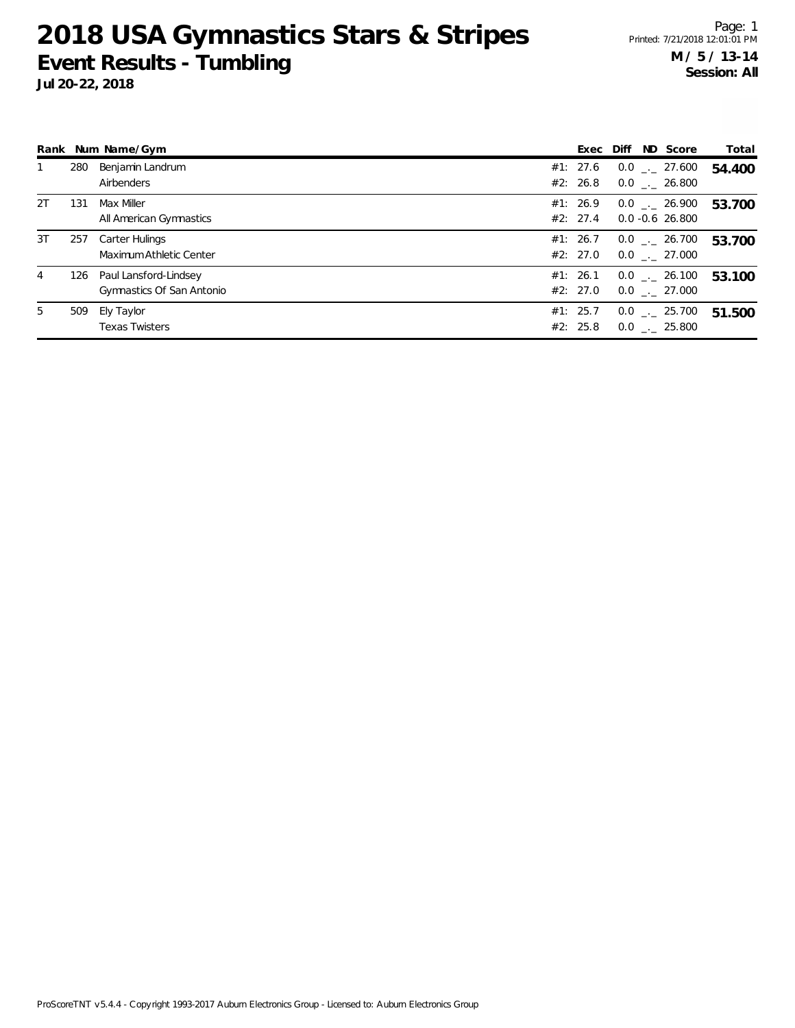|    |     | Rank Num Name/Gym                                  |                      | Exec Diff ND Score                     | Total  |
|----|-----|----------------------------------------------------|----------------------|----------------------------------------|--------|
|    | 280 | Benjamin Landrum<br>Airbenders                     | #1: 27.6<br>#2: 26.8 | $0.0$ _._ 27.600<br>$0.0$ _._ 26.800   | 54.400 |
| 2T | 131 | Max Miller<br>All American Gymnastics              | #1: 26.9<br>#2: 27.4 | $0.0$ _._ 26.900<br>$0.0 - 0.6$ 26.800 | 53.700 |
| 3T | 257 | Carter Hulings<br>Maximum Athletic Center          | #1: 26.7<br>#2: 27.0 | $0.0$ _ $-$ 26.700<br>$0.0$ . 27.000   | 53.700 |
| 4  | 126 | Paul Lansford-Lindsey<br>Gymnastics Of San Antonio | #1: 26.1<br>#2: 27.0 | $0.0$ _._ 26.100<br>$0.0$ _._ 27.000   | 53.100 |
| 5  | 509 | Ely Taylor<br><b>Texas Twisters</b>                | #1: 25.7<br>#2: 25.8 | $0.0$ _._ 25.700<br>$0.0$ _._ 25.800   | 51.500 |